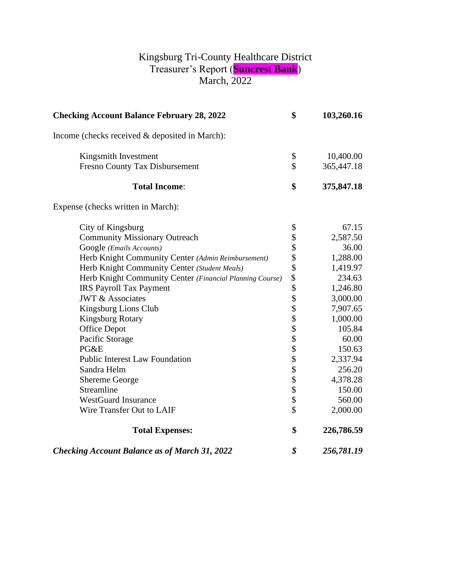## Kingsburg Tri-County Healthcare District Treasurer's Report (**Suncrest Bank**) March, 2022

| <b>Checking Account Balance February 28, 2022</b>        | \$                       | 103,260.16 |
|----------------------------------------------------------|--------------------------|------------|
| Income (checks received & deposited in March):           |                          |            |
| Kingsmith Investment                                     | \$                       | 10,400.00  |
| Fresno County Tax Disbursement                           | \$                       | 365,447.18 |
| <b>Total Income:</b>                                     | \$                       | 375,847.18 |
| Expense (checks written in March):                       |                          |            |
| City of Kingsburg                                        | \$                       | 67.15      |
| <b>Community Missionary Outreach</b>                     | \$                       | 2,587.50   |
| Google (Emails Accounts)                                 | \$                       | 36.00      |
| Herb Knight Community Center (Admin Reimbursement)       | \$                       | 1,288.00   |
| Herb Knight Community Center (Student Meals)             |                          | 1,419.97   |
| Herb Knight Community Center (Financial Planning Course) | \$                       | 234.63     |
| <b>IRS Payroll Tax Payment</b>                           | \$<br>\$                 | 1,246.80   |
| <b>JWT &amp; Associates</b>                              |                          | 3,000.00   |
| Kingsburg Lions Club                                     | \$\$\$\$\$\$\$\$\$\$\$\$ | 7,907.65   |
| <b>Kingsburg Rotary</b>                                  |                          | 1,000.00   |
| <b>Office Depot</b>                                      |                          | 105.84     |
| Pacific Storage                                          |                          | 60.00      |
| PG&E                                                     |                          | 150.63     |
| <b>Public Interest Law Foundation</b>                    |                          | 2,337.94   |
| Sandra Helm                                              |                          | 256.20     |
| <b>Shereme George</b>                                    |                          | 4,378.28   |
| Streamline                                               |                          | 150.00     |
| <b>WestGuard Insurance</b>                               |                          | 560.00     |
| Wire Transfer Out to LAIF                                | $\hat{\mathcal{L}}$      | 2,000.00   |
| <b>Total Expenses:</b>                                   | \$                       | 226,786.59 |
| <b>Checking Account Balance as of March 31, 2022</b>     | \$                       | 256,781.19 |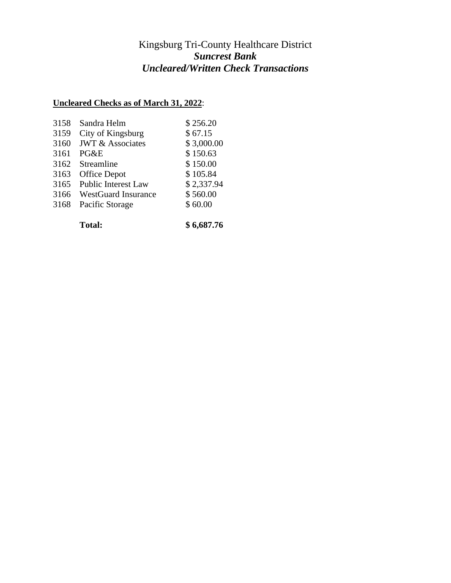## Kingsburg Tri-County Healthcare District *Suncrest Bank Uncleared/Written Check Transactions*

## **Uncleared Checks as of March 31, 2022**:

| 3158 | Sandra Helm                 | \$256.20   |
|------|-----------------------------|------------|
| 3159 | City of Kingsburg           | \$67.15    |
| 3160 | <b>JWT &amp; Associates</b> | \$3,000.00 |
| 3161 | PG&E                        | \$150.63   |
| 3162 | Streamline                  | \$150.00   |
| 3163 | <b>Office Depot</b>         | \$105.84   |
| 3165 | <b>Public Interest Law</b>  | \$2,337.94 |
| 3166 | <b>WestGuard Insurance</b>  | \$560.00   |
| 3168 | Pacific Storage             | \$60.00    |
|      |                             |            |

**Total: \$ 6,687.76**